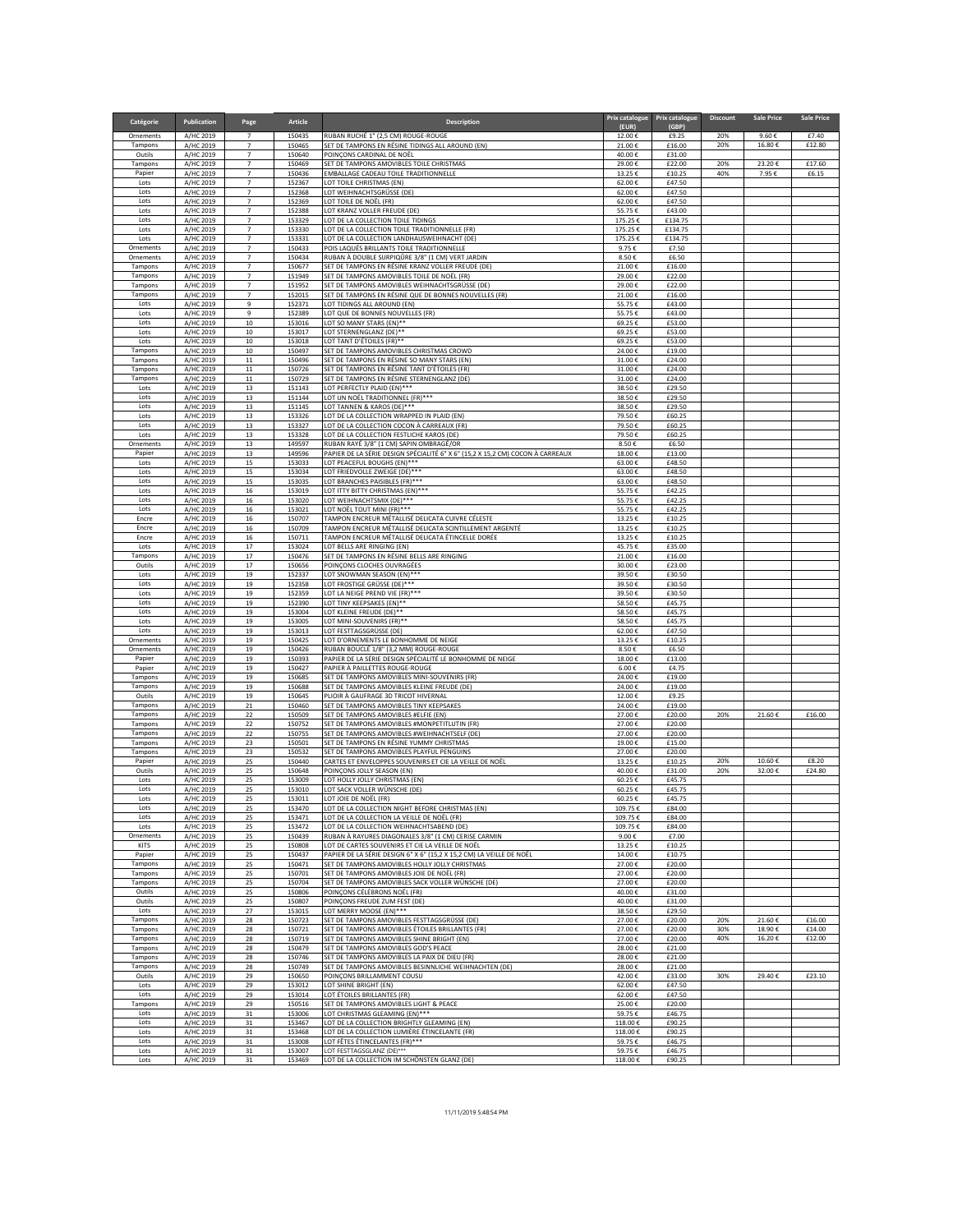| Catégorie            | <b>Publication</b>     | Page                             | <b>Article</b>   | <b>Description</b>                                                                                                     |                    | Prix catalogue   Prix catalogue | <b>Discount</b> | <b>Sale Price</b> | <b>Sale Price</b> |
|----------------------|------------------------|----------------------------------|------------------|------------------------------------------------------------------------------------------------------------------------|--------------------|---------------------------------|-----------------|-------------------|-------------------|
| Ornements            | A/HC 2019              | $\overline{7}$                   | 150435           | RUBAN RUCHÉ 1" (2,5 CM) ROUGE-ROUGE                                                                                    | (EUR)<br>12.00€    | (GBP)<br>£9.25                  | 20%             | 9.60€             | £7.40             |
| Tampons              | A/HC 2019<br>A/HC 2019 | $\overline{7}$<br>$\overline{7}$ | 150465           | SET DE TAMPONS EN RÉSINE TIDINGS ALL AROUND (EN)                                                                       | 21.00€             | £16.00                          | 20%             | 16.80€            | £12.80            |
| Outils<br>Tampons    | A/HC 2019              | $\overline{7}$                   | 150640<br>150469 | POINÇONS CARDINAL DE NOËL<br>SET DE TAMPONS AMOVIBLES TOILE CHRISTMAS                                                  | 40.00€<br>29.00€   | £31.00<br>£22.00                | 20%             | 23.20€            | £17.60            |
| Papier<br>Lots       | A/HC 2019<br>A/HC 2019 | $\overline{7}$<br>$\overline{7}$ | 150436<br>152367 | EMBALLAGE CADEAU TOILE TRADITIONNELLE<br>LOT TOILE CHRISTMAS (EN)                                                      | 13.25€<br>62.00€   | £10.25<br>£47.50                | 40%             | 7.95€             | £6.15             |
| Lots                 | A/HC 2019              | $\overline{7}$                   | 152368           | LOT WEIHNACHTSGRÜSSE (DE)                                                                                              | 62.00€             | £47.50                          |                 |                   |                   |
| Lots<br>Lots         | A/HC 2019<br>A/HC 2019 | $\overline{7}$<br>$\overline{7}$ | 152369<br>152388 | LOT TOILE DE NOËL (FR)<br>LOT KRANZ VOLLER FREUDE (DE)                                                                 | 62.00€<br>55.75€   | £47.50<br>£43.00                |                 |                   |                   |
| Lots                 | A/HC 2019              | $\overline{7}$                   | 153329           | LOT DE LA COLLECTION TOILE TIDINGS                                                                                     | 175.25€            | £134.75                         |                 |                   |                   |
| Lots<br>Lots         | A/HC 2019<br>A/HC 2019 | $\overline{7}$<br>$\overline{7}$ | 153330<br>153331 | LOT DE LA COLLECTION TOILE TRADITIONNELLE (FR)<br>LOT DE LA COLLECTION LANDHAUSWEIHNACHT (DE)                          | 175.25€<br>175.25€ | £134.75<br>£134.75              |                 |                   |                   |
| Ornements            | A/HC 2019              | $\overline{7}$                   | 150433           | POIS LAQUÉS BRILLANTS TOILE TRADITIONNELLE                                                                             | 9.75€              | £7.50                           |                 |                   |                   |
| Ornements<br>Tampons | A/HC 2019<br>A/HC 2019 | $\overline{7}$<br>$\overline{7}$ | 150434<br>150677 | RUBAN À DOUBLE SURPIQÛRE 3/8" (1 CM) VERT JARDIN<br>SET DE TAMPONS EN RÉSINE KRANZ VOLLER FREUDE (DE)                  | 8.50€<br>21.00€    | £6.50<br>£16.00                 |                 |                   |                   |
| Tampons              | A/HC 2019              | $\overline{7}$                   | 151949           | SET DE TAMPONS AMOVIBLES TOILE DE NOËL (FR)                                                                            | 29.00€             | £22.00                          |                 |                   |                   |
| Tampons<br>Tampons   | A/HC 2019<br>A/HC 2019 | $\overline{7}$<br>$\overline{7}$ | 151952<br>152015 | SET DE TAMPONS AMOVIBLES WEIHNACHTSGRÜSSE (DE)<br>SET DE TAMPONS EN RÉSINE QUE DE BONNES NOUVELLES (FR)                | 29.00€<br>21.00€   | £22.00<br>£16.00                |                 |                   |                   |
| Lots                 | A/HC 2019              | 9                                | 152371           | LOT TIDINGS ALL AROUND (EN)                                                                                            | 55.75€             | £43.00                          |                 |                   |                   |
| Lots<br>Lots         | A/HC 2019<br>A/HC 2019 | 9<br>10                          | 152389<br>153016 | LOT QUE DE BONNES NOUVELLES (FR)<br>LOT SO MANY STARS (EN)**                                                           | 55.75€<br>69.25€   | £43.00<br>£53.00                |                 |                   |                   |
| Lots                 | A/HC 2019              | 10                               | 153017           | LOT STERNENGLANZ (DE)**                                                                                                | 69.25€             | £53.00                          |                 |                   |                   |
| Lots<br>Tampons      | A/HC 2019<br>A/HC 2019 | 10<br>10                         | 153018<br>150497 | LOT TANT D'ÉTOILES (FR)**<br>SET DE TAMPONS AMOVIBLES CHRISTMAS CROWD                                                  | 69.25€<br>24.00€   | £53.00<br>£19.00                |                 |                   |                   |
| Tampons              | A/HC 2019              | 11                               | 150496           | SET DE TAMPONS EN RÉSINE SO MANY STARS (EN)                                                                            | 31.00€             | £24.00                          |                 |                   |                   |
| Tampons<br>Tampons   | A/HC 2019<br>A/HC 2019 | 11<br>11                         | 150726<br>150729 | SET DE TAMPONS EN RÉSINE TANT D'ÉTOILES (FR)<br>SET DE TAMPONS EN RÉSINE STERNENGLANZ (DE)                             | 31.00€<br>31.00€   | £24.00<br>£24.00                |                 |                   |                   |
| Lots                 | A/HC 2019              | 13                               | 151143           | LOT PERFECTLY PLAID (EN)***                                                                                            | 38.50€             | £29.50                          |                 |                   |                   |
| Lots<br>Lots         | A/HC 2019<br>A/HC 2019 | 13<br>13                         | 151144<br>151145 | LOT UN NOËL TRADITIONNEL (FR)***<br>LOT TANNEN & KAROS (DE)***                                                         | 38.50€<br>38.50€   | £29.50<br>£29.50                |                 |                   |                   |
| Lots                 | A/HC 2019              | 13                               | 153326           | LOT DE LA COLLECTION WRAPPED IN PLAID (EN)                                                                             | 79.50€             | £60.25                          |                 |                   |                   |
| Lots<br>Lots         | A/HC 2019<br>A/HC 2019 | 13<br>13                         | 153327<br>153328 | LOT DE LA COLLECTION COCON À CARREAUX (FR)                                                                             | 79.50€<br>79.50€   | £60.25<br>£60.25                |                 |                   |                   |
| Ornements            | A/HC 2019              | 13                               | 149597           | LOT DE LA COLLECTION FESTLICHE KAROS (DE)<br>RUBAN RAYÉ 3/8" (1 CM) SAPIN OMBRAGÉ/OR                                   | 8.50€              | £6.50                           |                 |                   |                   |
| Papier<br>Lots       | A/HC 2019<br>A/HC 2019 | 13<br>15                         | 149596<br>153033 | PAPIER DE LA SÉRIE DESIGN SPÉCIALITÉ 6" X 6" (15,2 X 15,2 CM) COCON À CARREAUX<br>LOT PEACEFUL BOUGHS (EN)***          | 18.00€<br>63.00€   | £13.00<br>£48.50                |                 |                   |                   |
| Lots                 | A/HC 2019              | 15                               | 153034           | LOT FRIEDVOLLE ZWEIGE (DE)***                                                                                          | 63.00€             | £48.50                          |                 |                   |                   |
| Lots<br>Lots         | A/HC 2019<br>A/HC 2019 | 15<br>16                         | 153035<br>153019 | LOT BRANCHES PAISIBLES (FR)***<br>LOT ITTY BITTY CHRISTMAS (EN)***                                                     | 63.00€<br>55.75€   | £48.50<br>£42.25                |                 |                   |                   |
| Lots                 | A/HC 2019              | 16                               | 153020           | LOT WEIHNACHTSMIX (DE)***                                                                                              | 55.75€             | £42.25                          |                 |                   |                   |
| Lots<br>Encre        | A/HC 2019<br>A/HC 2019 | 16<br>16                         | 153021<br>150707 | LOT NOËL TOUT MINI (FR)***<br>TAMPON ENCREUR MÉTALLISÉ DELICATA CUIVRE CÉLESTE                                         | 55.75€<br>13.25€   | £42.25<br>£10.25                |                 |                   |                   |
| Encre                | A/HC 2019              | 16                               | 150709           | TAMPON ENCREUR MÉTALLISÉ DELICATA SCINTILLEMENT ARGENTÉ                                                                | 13.25€             | £10.25                          |                 |                   |                   |
| Encre<br>Lots        | A/HC 2019<br>A/HC 2019 | 16<br>17                         | 150711<br>153024 | TAMPON ENCREUR MÉTALLISÉ DELICATA ÉTINCELLE DORÉE<br>LOT BELLS ARE RINGING (EN)                                        | 13.25€<br>45.75€   | £10.25<br>£35.00                |                 |                   |                   |
| Tampons              | A/HC 2019              | 17                               | 150476           | SET DE TAMPONS EN RÉSINE BELLS ARE RINGING                                                                             | 21.00€             | £16.00                          |                 |                   |                   |
| Outils<br>Lots       | A/HC 2019<br>A/HC 2019 | 17<br>19                         | 150656<br>152337 | POINÇONS CLOCHES OUVRAGÉES<br>LOT SNOWMAN SEASON (EN)***                                                               | 30.00€<br>39.50€   | £23.00<br>£30.50                |                 |                   |                   |
| Lots                 | A/HC 2019              | 19                               | 152358           | LOT FROSTIGE GRÜSSE (DE)***                                                                                            | 39.50€             | £30.50                          |                 |                   |                   |
| Lots<br>Lots         | A/HC 2019<br>A/HC 2019 | 19<br>19                         | 152359<br>152390 | LOT LA NEIGE PREND VIE (FR)***<br>LOT TINY KEEPSAKES (EN)**                                                            | 39.50€<br>58.50€   | £30.50<br>£45.75                |                 |                   |                   |
| Lots                 | A/HC 2019              | 19                               | 153004           | LOT KLEINE FREUDE (DE)**                                                                                               | 58.50€             | £45.75                          |                 |                   |                   |
| Lots<br>Lots         | A/HC 2019<br>A/HC 2019 | 19<br>19                         | 153005<br>153013 | LOT MINI-SOUVENIRS (FR)**<br>LOT FESTTAGSGRÜSSE (DE)                                                                   | 58.50€<br>62.00€   | £45.75<br>£47.50                |                 |                   |                   |
| Ornements            | A/HC 2019              | 19                               | 150425           | LOT D'ORNEMENTS LE BONHOMME DE NEIGE                                                                                   | 13.25€             | £10.25                          |                 |                   |                   |
| Ornements<br>Papier  | A/HC 2019<br>A/HC 2019 | 19<br>19                         | 150426<br>150393 | RUBAN BOUCLÉ 1/8" (3,2 MM) ROUGE-ROUGE<br>PAPIER DE LA SÉRIE DESIGN SPÉCIALITÉ LE BONHOMME DE NEIGE                    | 8.50€<br>18.00€    | £6.50<br>£13.00                 |                 |                   |                   |
| Papier               | A/HC 2019              | 19                               | 150427           | PAPIER À PAILLETTES ROUGE-ROUGE                                                                                        | 6.00€              | £4.75                           |                 |                   |                   |
| Tampons<br>Tampons   | A/HC 2019<br>A/HC 2019 | 19<br>19                         | 150685<br>150688 | SET DE TAMPONS AMOVIBLES MINI-SOUVENIRS (FR)<br>SET DE TAMPONS AMOVIBLES KLEINE FREUDE (DE)                            | 24.00€<br>24.00€   | £19.00<br>£19.00                |                 |                   |                   |
| Outils               | A/HC 2019              | 19                               | 150645           | PLIOIR À GAUFRAGE 3D TRICOT HIVERNAL                                                                                   | 12.00€             | £9.25                           |                 |                   |                   |
| Tampons<br>Tampons   | A/HC 2019<br>A/HC 2019 | 21<br>22                         | 150460<br>150509 | SET DE TAMPONS AMOVIBLES TINY KEEPSAKES<br>SET DE TAMPONS AMOVIBLES #ELFIE (EN)                                        | 24.00€<br>27.00€   | £19.00<br>£20.00                | 20%             | 21.60€            | £16.00            |
| Tampons              | A/HC 2019              | 22                               | 150752           | SET DE TAMPONS AMOVIBLES #MONPETITLUTIN (FR)                                                                           | 27.00€             | £20.00                          |                 |                   |                   |
| Tampons<br>Tampons   | A/HC 2019<br>A/HC 2019 | 22<br>23                         | 150755<br>150501 | SET DE TAMPONS AMOVIBLES #WEIHNACHTSELF (DE)<br>SET DE TAMPONS EN RÉSINE YUMMY CHRISTMAS                               | 27.00€<br>19.00€   | £20.00<br>£15.00                |                 |                   |                   |
| Tampons              | A/HC 2019              | 23                               | 150532           | SET DE TAMPONS AMOVIBLES PLAYFUL PENGUINS                                                                              | 27.00€             | £20.00                          |                 |                   |                   |
| Papier<br>Outils     | A/HC 2019<br>A/HC 2019 | 25<br>25                         | 150440<br>150648 | CARTES ET ENVELOPPES SOUVENIRS ET CIE LA VEILLE DE NOËL<br>POINÇONS JOLLY SEASON (EN)                                  | 13.25€<br>40.00€   | £10.25<br>£31.00                | 20%<br>20%      | 10.60€<br>32.00€  | £8.20<br>£24.80   |
| Lots                 | A/HC 2019              | 25                               | 153009           | LOT HOLLY JOLLY CHRISTMAS (EN)                                                                                         | 60.25€             | £45.75                          |                 |                   |                   |
| Lots<br>Lots         | A/HC 2019<br>A/HC 2019 | 25<br>25                         | 153010<br>153011 | LOT SACK VOLLER WÜNSCHE (DE)<br>LOT JOIE DE NOËL (FR)                                                                  | 60.25€<br>60.25€   | £45.75<br>£45.75                |                 |                   |                   |
| Lots                 | A/HC 2019              | 25                               | 153470           | LOT DE LA COLLECTION NIGHT BEFORE CHRISTMAS (EN)                                                                       | 109.75€            | £84.00                          |                 |                   |                   |
| Lots<br>Lots         | A/HC 2019<br>A/HC 2019 | 25<br>25                         | 153471<br>153472 | LOT DE LA COLLECTION LA VEILLE DE NOËL (FR)<br>LOT DE LA COLLECTION WEIHNACHTSABEND (DE)                               | 109.75€<br>109.75€ | £84.00<br>£84.00                |                 |                   |                   |
| Ornements            | A/HC 2019              | 25                               | 150439           | RUBAN À RAYURES DIAGONALES 3/8" (1 CM) CERISE CARMIN                                                                   | 9.00€              | £7.00                           |                 |                   |                   |
| KITS                 | A/HC 2019              | 25                               | 150808           | LOT DE CARTES SOUVENIRS ET CIE LA VEILLE DE NOËL                                                                       | 13.25€             | £10.25                          |                 |                   |                   |
| Papier<br>Tampons    | A/HC 2019<br>A/HC 2019 | 25<br>25                         | 150437<br>150471 | PAPIER DE LA SÉRIE DESIGN 6" X 6" (15,2 X 15,2 CM) LA VEILLE DE NOËL<br>SET DE TAMPONS AMOVIBLES HOLLY JOLLY CHRISTMAS | 14.00€<br>27.00€   | £10.75<br>£20.00                |                 |                   |                   |
| Tampons              | A/HC 2019              | 25                               | 150701           | SET DE TAMPONS AMOVIBLES JOIE DE NOËL (FR)                                                                             | 27.00€             | £20.00                          |                 |                   |                   |
| Tampons<br>Outils    | A/HC 2019<br>A/HC 2019 | 25<br>25                         | 150704<br>150806 | SET DE TAMPONS AMOVIBLES SACK VOLLER WÜNSCHE (DE)<br>POINCONS CÉLÉBRONS NOËL (FR)                                      | 27.00€<br>40.00€   | £20.00<br>£31.00                |                 |                   |                   |
| Outils               | A/HC 2019              | 25                               | 150807           | POINCONS FREUDE ZUM FEST (DE)                                                                                          | 40.00€             | £31.00                          |                 |                   |                   |
| Lots<br>Tampons      | A/HC 2019<br>A/HC 2019 | 27<br>28                         | 153015<br>150723 | LOT MERRY MOOSE (EN)***<br>SET DE TAMPONS AMOVIBLES FESTTAGSGRÜSSE (DE)                                                | 38.50€<br>27.00€   | £29.50<br>£20.00                | 20%             | 21.60€            | £16.00            |
| Tampons              | A/HC 2019              | 28                               | 150721           | SET DE TAMPONS AMOVIBLES ÉTOILES BRILLANTES (FR)                                                                       | 27.00€             | £20.00                          | 30%             | 18.90€            | £14.00            |
| Tampons<br>Tampons   | A/HC 2019<br>A/HC 2019 | 28<br>28                         | 150719<br>150479 | SET DE TAMPONS AMOVIBLES SHINE BRIGHT (EN)<br>SET DE TAMPONS AMOVIBLES GOD'S PEACE                                     | 27.00€<br>28.00€   | £20.00<br>£21.00                | 40%             | 16.20€            | £12.00            |
| Tampons              | A/HC 2019              | 28                               | 150746           | SET DE TAMPONS AMOVIBLES LA PAIX DE DIEU (FR)                                                                          | 28.00€             | £21.00                          |                 |                   |                   |
| Tampons<br>Outils    | A/HC 2019<br>A/HC 2019 | 28<br>29                         | 150749<br>150650 | SET DE TAMPONS AMOVIBLES BESINNLICHE WEIHNACHTEN (DE)<br>POINCONS BRILLAMMENT COUSU                                    | 28.00€<br>42.00€   | £21.00<br>£33.00                | 30%             | 29.40€            | £23.10            |
| Lots                 | A/HC 2019              | 29                               | 153012           | LOT SHINE BRIGHT (EN)                                                                                                  | 62.00€             | £47.50                          |                 |                   |                   |
| Lots<br>Tampons      | A/HC 2019<br>A/HC 2019 | 29<br>29                         | 153014<br>150516 | LOT ÉTOILES BRILLANTES (FR)<br>SET DE TAMPONS AMOVIBLES LIGHT & PEACE                                                  | 62.00€<br>25.00€   | £47.50<br>£20.00                |                 |                   |                   |
| Lots                 | A/HC 2019              | 31                               | 153006           | LOT CHRISTMAS GLEAMING (EN)***                                                                                         | 59.75€             | £46.75                          |                 |                   |                   |
| Lots<br>Lots         | A/HC 2019              | 31<br>31                         | 153467<br>153468 | LOT DE LA COLLECTION BRIGHTLY GLEAMING (EN)<br>LOT DE LA COLLECTION LUMIÈRE ÉTINCELANTE (FR)                           | 118.00€<br>118.00€ | £90.25<br>£90.25                |                 |                   |                   |
| Lots                 | A/HC 2019<br>A/HC 2019 | 31                               | 153008           | LOT FÊTES ÉTINCELANTES (FR)***                                                                                         | 59.75€             | £46.75                          |                 |                   |                   |
| Lots<br>Lots         | A/HC 2019              | 31<br>31                         | 153007           | LOT FESTTAGSGLANZ (DE)***<br>LOT DE LA COLLECTION IM SCHÖNSTEN GLANZ (DE)                                              | 59.75€             | £46.75                          |                 |                   |                   |
|                      | A/HC 2019              |                                  | 153469           |                                                                                                                        | 118.00€            | £90.25                          |                 |                   |                   |